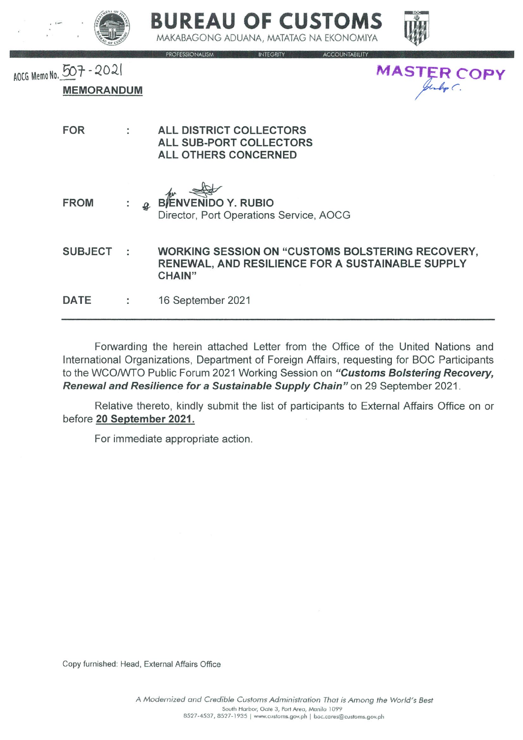





AOCG Memo No. 507-2021 **MASTER COPY MEMORANDUM FOR ALL DISTRICT COLLECTORS** t **ALL SUB-PORT COLLECTORS ALL OTHERS CONCERNED ENIDO Y. RUBIO FROM** Ĭ. Director, Port Operations Service, AOCG **SUBJECT** ċ,

**WORKING SESSION ON "CUSTOMS BOLSTERING RECOVERY.** RENEWAL, AND RESILIENCE FOR A SUSTAINABLE SUPPLY **CHAIN"** 

**DATE** ċ 16 September 2021

Forwarding the herein attached Letter from the Office of the United Nations and International Organizations, Department of Foreign Affairs, requesting for BOC Participants to the WCO/WTO Public Forum 2021 Working Session on "Customs Bolstering Recovery, Renewal and Resilience for a Sustainable Supply Chain" on 29 September 2021.

Relative thereto, kindly submit the list of participants to External Affairs Office on or before 20 September 2021.

For immediate appropriate action.

Copy furnished: Head, External Affairs Office